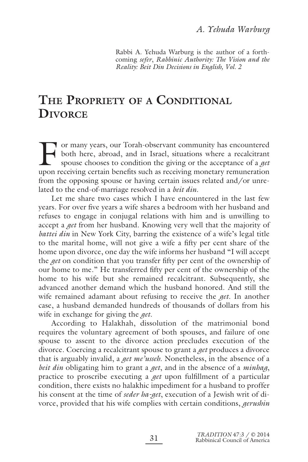Rabbi A. Yehuda Warburg is the author of a forthcoming *sefer*, *Rabbinic Authority: The Vision and the Reality: Beit Din Decisions in English, Vol. 2*

# **THE PROPRIETY OF A CONDITIONAL DIVORCE**

For many years, our Torah-observant community has encountered<br>both here, abroad, and in Israel, situations where a recalcitrant<br>spouse chooses to condition the giving or the acceptance of a *get*<br>upon receiving certain ben both here, abroad, and in Israel, situations where a recalcitrant spouse chooses to condition the giving or the acceptance of a *get* upon receiving certain benefits such as receiving monetary remuneration from the opposing spouse or having certain issues related and/or unrelated to the end-of-marriage resolved in a *beit din*.

Let me share two cases which I have encountered in the last few years. For over five years a wife shares a bedroom with her husband and refuses to engage in conjugal relations with him and is unwilling to accept a *get* from her husband. Knowing very well that the majority of *battei din* in New York City, barring the existence of a wife's legal title to the marital home, will not give a wife a fifty per cent share of the home upon divorce, one day the wife informs her husband "I will accept the *get* on condition that you transfer fifty per cent of the ownership of our home to me." He transferred fifty per cent of the ownership of the home to his wife but she remained recalcitrant. Subsequently, she advanced another demand which the husband honored. And still the wife remained adamant about refusing to receive the *get*. In another case, a husband demanded hundreds of thousands of dollars from his wife in exchange for giving the *get*.

According to Halakhah, dissolution of the matrimonial bond requires the voluntary agreement of both spouses, and failure of one spouse to assent to the divorce action precludes execution of the divorce. Coercing a recalcitrant spouse to grant a *get* produces a divorce that is arguably invalid, a *get me'usseh*. Nonetheless, in the absence of a *beit din* obligating him to grant a *get*, and in the absence of a *minhag*, practice to proscribe executing a *get* upon fulfillment of a particular condition, there exists no halakhic impediment for a husband to proffer his consent at the time of *seder ha-get*, execution of a Jewish writ of divorce, provided that his wife complies with certain conditions, *gerushin*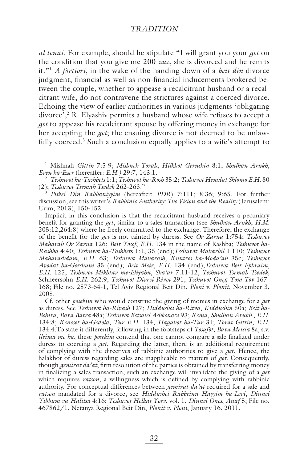*al tenai*. For example, should he stipulate "I will grant you your *get* on the condition that you give me 200 *zuz*, she is divorced and he remits it."1 *A fortiori*, in the wake of the handing down of a *beit din* divorce judgment, financial as well as non-financial inducements brokered between the couple, whether to appease a recalcitrant husband or a recalcitrant wife, do not contravene the strictures against a coerced divorce. Echoing the view of earlier authorities in various judgments 'obligating divorce',2 R. Elyashiv permits a husband whose wife refuses to accept a *get* to appease his recalcitrant spouse by offering money in exchange for her accepting the *get*; the ensuing divorce is not deemed to be unlawfully coerced.<sup>3</sup> Such a conclusion equally applies to a wife's attempt to

1 Mishnah *Gittin* 7:5-9; *Mishneh Torah*, *Hilkhot Gerushin* 8:1; *Shulhan Arukh*, *Even ha-Ezer* (hereafter: *E.H.)* 29:7, 143:1.

<sup>2</sup> *Teshuvot ha-Tashbets* 1:1; *Teshuvot ha-Rosh* 35:2; *Teshuvot Hemdat Shlomo E.H.* 80 (2); *Teshuvot Tsemah Tsedek* 262-263."

<sup>3</sup> *Piskei Din Rabbaniyyim* (hereafter: *PDR*) 7:111; 8:36; 9:65. For further discussion, see this writer's *Rabbinic Authority: The Vision and the Reality* (Jerusalem: Urim, 2013), 150-152.

Implicit in this conclusion is that the recalcitrant husband receives a pecuniary benefit for granting the *get*, similar to a sales transaction (see *Shulhan Arukh*, *H.M.* 205:12,264:8) where he freely committed to the exchange. Therefore, the exchange of the benefit for the *get* is not tainted by duress. See *Or Zarua* 1:754; *Teshuvot Maharah Or Zarua* 126; *Beit Yosef*, *E.H.* 134 in the name of Rashba; *Teshuvot ha-Rashba* 4:40; *Teshuvot ha-Tashbet*s 1:1, 35 (end);*Teshuvot Maharbil* 1:110; *Teshuvot Maharashdam*, *E.H.* 63; *Teshuvot Maharash*, *Kuntres ha-Moda'ah* 35c; *Teshuvot Avodat ha-Gershuni* 35 (end); *Beit Meir*, *E.H.* 134 (end);*Teshuvot Beit Ephraim*, *E.H.* 125; *Teshuvot Mikhtav me-Eliyahu*, *Sha'ar* 7:11-12; *Teshuvot Tsemah Tsedek,*  Schneersohn *E.H.* 262:9; *Teshuvot Divrei Rivot* 291; *Teshuvot Oneg Yom Tov* 167- 168; File no. 2573-64-1, Tel Aviv Regional Beit Din, *Ploni v. Plonit*, November 3, 2005.

Cf. other *posekim* who would construe the giving of monies in exchange for a *get* as duress. See *Teshuvot ha-Rivash* 127; *Hiddushei ha-Ritva*, *Kiddushin* 50a; *Beit ha-Behira*, *Bava Batra* 48a; *Teshuvot Betsalel Ashkenazi* 93; *Rema*, *Shulhan Arukh.*, *E.H.* 134:8; *Keneset ha-Gedola*, *Tur E.H.* 134, *Hagahot ha-Tur* 31; *Torat Gittin*, *E.H.* 134:4.To state it differently, following in the footsteps of *Tosafot*, *Bava Metsia* 8a, s.v. *ileima me-ha*, these *posekim* contend that one cannot compare a sale finalized under duress to coercing a *get*. Regarding the latter, there is an additional requirement of complying with the directives of rabbinic authorities to give a *get*. Hence, the halakhot of duress regarding sales are inapplicable to matters of *get*. Consequently, though *gemirat da'at*, firm resolution of the parties is obtained by transferring money in finalizing a sales transaction, such an exchange will invalidate the giving of a *get* which requires *ratson*, a willingness which is defined by complying with rabbinic authority. For conceptual differences between *gemirat da'at* required for a sale and *ratson* mandated for a divorce, see *Hiddushei Rabbeinu Hayyim ha-Levi*, *Dinnei Yibbum va-Halitsa* 4:16; *Teshuvot Helkat Yoev*, vol. 1, *Dinnei Ones*, *Anaf* 5; File no. 467862/1, Netanya Regional Beit Din, *Plonit v. Ploni*, January 16, 2011.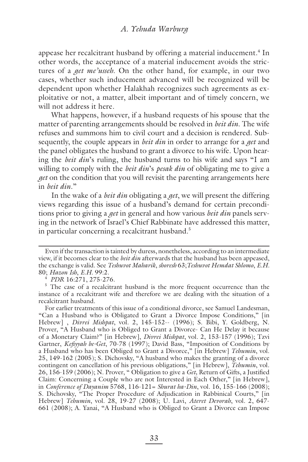appease her recalcitrant husband by offering a material inducement.<sup>4</sup> In other words, the acceptance of a material inducement avoids the strictures of a *get me'usseh*. On the other hand, for example, in our two cases, whether such inducement advanced will be recognized will be dependent upon whether Halakhah recognizes such agreements as exploitative or not, a matter, albeit important and of timely concern, we will not address it here.

What happens, however, if a husband requests of his spouse that the matter of parenting arrangements should be resolved in *beit din*. The wife refuses and summons him to civil court and a decision is rendered. Subsequently, the couple appears in *beit din* in order to arrange for a *get* and the panel obligates the husband to grant a divorce to his wife. Upon hearing the *beit din*'s ruling, the husband turns to his wife and says "I am willing to comply with the *beit din*'s *pesak din* of obligating me to give a *get* on the condition that you will revisit the parenting arrangements here in *beit din*."

In the wake of a *beit din* obligating a *get*, we will present the differing views regarding this issue of a husband's demand for certain preconditions prior to giving a *get* in general and how various *beit din* panels serving in the network of Israel's Chief Rabbinate have addressed this matter, in particular concerning a recalcitrant husband.<sup>5</sup>

Even if the transaction is tainted by duress, nonetheless, according to an intermediate view, if it becomes clear to the *beit din* afterwards that the husband has been appeased, the exchange is valid. See *Teshuvot Maharik*, *shoresh* 63;*Teshuvot Hemdat Shlomo*, *E.H.* 80; *Hazon Ish*, *E.H.* 99:2.<br><sup>4</sup> *PDR* 16:271, 275-276.

 $5$  The case of a recalcitrant husband is the more frequent occurrence than the instance of a recalcitrant wife and therefore we are dealing with the situation of a recalcitrant husband.

For earlier treatments of this issue of a conditional divorce, see Samuel Landesman, "Can a Husband who is Obligated to Grant a Divorce Impose Conditions," [in Hebrew] , *Divrei Mishpat*, vol. 2, 145-152-- (1996); S. Bibi, Y. Goldberg, N. Prover, "A Husband who is Obliged to Grant a Divorce- Can He Delay it because of a Monetary Claim?" [in Hebrew], *Divrei Mishpat*, vol. 2, 153-157 (1996); Tzvi Gartner, *Kefiyyah be-Get*, 70-78 (1997); David Bass, "Imposition of Conditions by a Husband who has been Obliged to Grant a Divorce," [in Hebrew] *Tehumin*, vol. 25, 149-162 (2005); S. Dichovsky, "A husband who makes the granting of a divorce contingent on cancellation of his previous obligations," [in Hebrew], *Tehumin*, vol. 26, 156-159 (2006); N. Prover, "Obligation to give a *Get*, Return of Gifts, a Justified Claim: Concerning a Couple who are not Interested in Each Other," [in Hebrew], in *Conference of Dayanim* 5768, 116-121= *Shurat ha-Din*, vol. 16, 155-166 (2008); S. Dichovsky, "The Proper Procedure of Adjudication in Rabbinical Courts," [in Hebrew] *Tehumin*, vol. 28, 19-27 (2008); U. Lavi, *Ateret Devorah*, vol. 2, 647- 661 (2008); A. Yanai, "A Husband who is Obliged to Grant a Divorce can Impose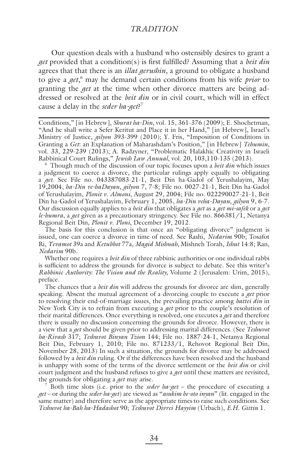Our question deals with a husband who ostensibly desires to grant a *get* provided that a condition(s) is first fulfilled? Assuming that a *beit din* agrees that that there is an *illat gerushin*, a ground to obligate a husband to give a *get*, 6 may he demand certain conditions from his wife *prior* to granting the *get* at the time when other divorce matters are being addressed or resolved at the *beit din* or in civil court, which will in effect cause a delay in the *seder ha-get*? 7

Conditions," [in Hebrew], *Shurat ha-Din*, vol. 15, 361-376 (2009); E. Shochetman, "And he shall write a Sefer Keritut and Place it in her Hand," [in Hebrew], Israel's Ministry of Justice, *gilyon* 393-399 (2010); Y. Fris, "Imposition of Conditions in Granting a *Get*: an Explanation of Maharashdam's Position," [in Hebrew] *Tehumin*, vol. 33, 229-239 (2013); A. Radzyner, "Problematic Halakhic Creativity in Israeli Rabbinical Court Rulings," *Jewish Law Annual*, vol. 20, 103,110-135 (2013).

6 Though much of the discussion of our topic focuses upon a *beit din* which issues a judgment to coerce a divorce, the particular rulings apply equally to obligating a *get*. See File no. 043387083-21-1, Beit Din ha-Gadol of Yerushalayim, May 19,2004, *ha-Din ve-haDayan*, *gilyon* 7, 7-8; File no. 0027-21-1, Beit Din ha-Gadol of Yerushalayim, *Plonit v. Almoni*, August 29, 2004; File no. 022290027-21-1, Beit Din ha-Gadol of Yerushalayim, February 1, 2005, *ha-Din veha-Dayan*, *gilyon* 9, 6-7. Our discussion equally applies to a *beit din* that obligates a *get* as a *get mi-safek* or a *get le-humra*, a *get* given as a precautionary stringency. See File no. 866381/1, Netanya Regional Beit Din*, Plonit v*. *Ploni*, December 19, 2012.

The basis for this conclusion is that once an "obligating divorce" judgment is issued, one can coerce a divorce in time of need. See Rashi, *Nedarim* 90b; Tosafot Ri, *Yevamot* 39a and *Ketubbot* 77a, *Magid Mishnah*, Mishneh Torah, *Ishut* 14:8; Ran, *Nedarim* 90b.

Whether one requires a *beit din* of three rabbinic authorities or one individual rabbi is sufficient to address the grounds for divorce is subject to debate. See this writer's *Rabbinic Authority: The Vision and the Reality,* Volume 2 (Jerusalem: Urim, 2015), preface.

The chances that a *beit din* will address the grounds for divorce are slim, generally speaking. Absent the mutual agreement of a divorcing couple to execute a *get* prior to resolving their end-of-marriage issues, the prevailing practice among *battei din* in New York City is to refrain from executing a *get* prior to the couple's resolution of their marital differences. Once everything is resolved, one executes a *get* and therefore there is usually no discussion concerning the grounds for divorce. However, there is a view that a *get* should be given prior to addressing marital differences. (See *Teshuvot ha-Rivash* 317; *Teshuvot Binyan Tzion* 144; File no. 1887-24-1, Netanya Regional Beit Din, February 1, 2010; File no. 871233/1, Rehovot Regional Beit Din, November 28, 2013) In such a situation, the grounds for divorce may be addressed followed by a *beit din* ruling. Or if the differences have been resolved and the husband is unhappy with some of the terms of the divorce settlement or the *beit din* or civil court judgment and the husband refuses to give a *get* until these matters are revisited, the grounds for obligating a *get* may arise. 7

 Both time slots (i.e. prior to the *seder ha-get* – the procedure of executing a *get* – or during the *seder ha-get*) are viewed as "*asukim be-oto inyan*" (lit. engaged in the same matter) and therefore serve as the appropriate times to raise such conditions. See *Teshuvot ha-Bah ha-Hadashot* 90; *Teshuvot Divrei Hayyim* (Urbach), *E.H. Gittin* 1.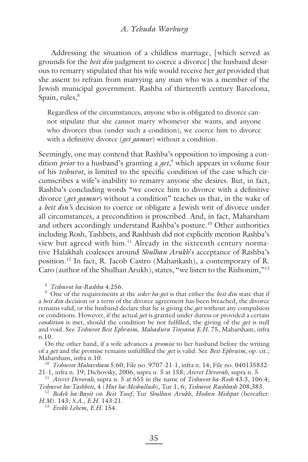#### *A. Yehuda Warburg*

Addressing the situation of a childless marriage, [which served as grounds for the *beit din* judgment to coerce a divorce] the husband desirous to remarry stipulated that his wife would receive her *get* provided that she assent to refrain from marrying any man who was a member of the Jewish municipal government. Rashba of thirteenth century Barcelona, Spain, rules,<sup>8</sup>

Regardless of the circumstances, anyone who is obligated to divorce cannot stipulate that she cannot marry whomever she wants, and anyone who divorces thus (under such a condition), we coerce him to divorce with a definitive divorce (*get gamur*) without a condition.

Seemingly, one may contend that Rashba's opposition to imposing a condition *prior* to a husband's granting a *get*, 9 which appears in volume four of his *teshuvot*, is limited to the specific condition of the case which circumscribes a wife's inability to remarry anyone she desires. But, in fact, Rashba's concluding words "we coerce him to divorce with a definitive divorce (*get gamur*) without a condition" teaches us that, in the wake of a *beit din'*s decision to coerce or obligate a Jewish writ of divorce under all circumstances, a precondition is proscribed. And, in fact, Maharsham and others accordingly understand Rashba's posture.<sup>10</sup> Other authorities including Rosh, Tashbets, and Rashbash did not explicitly mention Rashba's view but agreed with him.<sup>11</sup> Already in the sixteenth century normative Halakhah coalesces around *Shulhan Arukh*'s acceptance of Rashba's position.12 In fact, R. Jacob Castro (Maharikash), a contemporary of R. Caro (author of the Shulhan Arukh), states, "we listen to the Rishonim,"13

<sup>8</sup> *Teshuvot ha-Rashba* 4:256.

9 One of the requirements at the *seder ha-get* is that either the *beit din* state that if a *beit din* decision or a term of the divorce agreement has been breached, the divorce remains valid, or the husband declare that he is giving the *get* without any compulsion or conditions. However, if the actual *get* is granted under duress or provided a certain *condition* is met, should the condition be not fulfilled, the giving of the *get* is null and void. See *Teshuvot Beit Ephraim*, *Mahadura Tinyana E.H.* 75, Maharsham, infra n.10.

On the other hand, if a wife advances a *promise* to her husband before the writing of a *get* and the promise remains unfulfilled the *get* is valid. See *Beit Ephraim*, op. cit.;

Maharsham, infra n.10.<br><sup>10</sup> *Teshuvot Maharsham* 5:60; File no. 9707-21-1, infra n. 14; File no. 040135832-<br>21-1, infra n. 19; Dichovsky, 2006, supra n. 5 at 158; *Ateret Devorah*, supra n. 5

<sup>11</sup> *Ateret Devorah*, supra n. 5 at 655 in the name of *Teshuvot ha-Rosh* 43:3, 106:4; *Teshuvot ha-Tashbets*, 4 (*Hut ha-Meshullash*), Tur 1, 6; *Teshuvot Rashbash* 208,383.

<sup>12</sup> Bedek ha-Bayit on Beit Yosef, Tur Shulhan Arukh, Hoshen Mishpat (hereafter: *H.M).* 143; *S.A.*, *E.H.* 143:21. 13 *Erekh Lehem*, *E.H.* 154.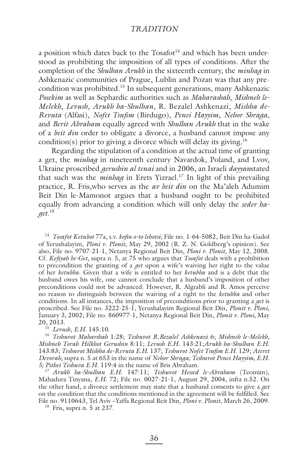a position which dates back to the  $T$ osafot $14$  and which has been understood as prohibiting the imposition of all types of conditions. After the completion of the *Shulhan Arukh* in the sixteenth century, the *minhag* in Ashkenazic communities of Prague, Lublin and Pozan was that any precondition was prohibited.15 In subsequent generations, many Ashkenazic *Posekim* as well as Sephardic authorities such as *Maharashah*, *Mishneh le-Melekh*, *Levush*, *Arukh ha-Shulhan*, R. Bezalel Ashkenazi, *Mishha de-Revuta* (Alfasi), *Nofet Tsufi m* (Birdugo), *Penei Hayyim*, *Nehor Shraga*, and *Berit Abraham* equally agreed with *Shulhan Arukh* that in the wake of a *beit din* order to obligate a divorce, a husband cannot impose any condition(s) prior to giving a divorce which will delay its giving.<sup>16</sup>

Regarding the stipulation of a condition at the actual time of granting a get, the *minhag* in nineteenth century Navardok, Poland, and Lvov, Ukraine proscribed *gerushin al tenai* and in 2006, an Israeli *dayyan*stated that such was the *minhag* in Erets Yizrael.<sup>17</sup> In light of this prevailing practice, R. Fris,who serves as the *av beit din* on the Ma'aleh Adumim Beit Din le-Mamonot argues that a husband ought to be prohibited equally from advancing a condition which will only delay the *seder haget*. 18

<sup>14</sup> *Tosafot Ketubot* 77a, s.v. *kofin o-to lehotsi*; File no. 1-64-5082, Beit Din ha-Gadol of Yerushalayim, *Ploni v. Plonit*, May 29, 2002 (R. Z. N. Goldberg's opinion). See also, File no. 9707-21-1, Netanya Regional Beit Din, *Ploni v. Plonit*, May 12, 2008. Cf. *Kefi yah be-Get*, supra n. 5, at 75 who argues that *Tosafot* deals with a prohibition to precondition the granting of a *get* upon a wife's waiving her right to the value of her *ketubba*. Given that a wife is entitled to her *ketubba* and is a debt that the husband owes his wife, one cannot conclude that a husband's imposition of other preconditions could not be advanced. However, R. Algrabli and R. Amos perceive no reason to distinguish between the waiving of a right to the *ketubba* and other conditions. In all instances, the imposition of preconditions prior to granting a *get* is proscribed. See File no. 3222-25-1, Yerushalayim Regional Beit Din, *Plonit v. Ploni*, January 3, 2002; File no. 860977-1, Netanya Regional Beit Din, *Plonit v. Ploni*, May 20, 2013.

<sup>15</sup> *Levush*, *E.H.* 145:10.

<sup>16</sup> *Teshuvot Maharshah* 1:28; *Teshuvot R.Bezalel Ashkenazi* 6; *Mishneh le-Melekh*, *Mishneh Torah Hilkhot Gerushin* 8:11; *Levush E.H*. 143:21;*Arukh ha-Shulhan E.H*. 143:83; Teshuvot Mishha de-Revuta E.H. 137; Teshuvot Nofet Tsufim E.H. 129; Ateret *Devorah*, supra n. 5 at 653 in the name of *Nehor Shraga; Teshuvot Penei Hayyim, E.H*. *5; Pithei Teshuva E.H*. 119:4 in the name of Bris Abraham.

<sup>17</sup> *Arukh ha-Shulhan E.H*. 147:11; *Teshuvot Hessed le-Abraham* (Teomim), Mahadura Tinyana, *E.H*. 72; File no. 0027-21-1, August 29, 2004, infra n.52. On the other hand, a divorce settlement may state that a husband consents to give a *get* on the condition that the conditions mentioned in the agreement will be fulfilled. See File no. 9110643, Tel Aviv –Yaffa Regional Beit Din, *Ploni v. Plonit*, March 26, 2009.

 $18$  Fris, supra n. 5 at 237.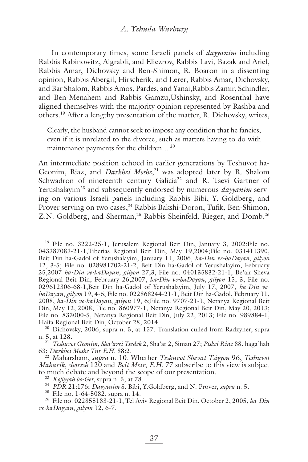#### *A. Yehuda Warburg*

In contemporary times, some Israeli panels of *dayyanim* including Rabbis Rabinowitz, Algrabli, and Eliezrov, Rabbis Lavi, Bazak and Ariel, Rabbis Amar, Dichovsky and Ben-Shimon, R. Boaron in a dissenting opinion, Rabbis Abergil, Hirscherik, and Lerer, Rabbis Amar, Dichovsky, and Bar Shalom, Rabbis Amos, Pardes, and Yanai,Rabbis Zamir, Schindler, and Ben-Menahem and Rabbis Gamzu,Ushinsky, and Rosenthal have aligned themselves with the majority opinion represented by Rashba and others.19 After a lengthy presentation of the matter, R. Dichovsky, writes,

Clearly, the husband cannot seek to impose any condition that he fancies, even if it is unrelated to the divorce, such as matters having to do with maintenance payments for the children...<sup>20</sup>

An intermediate position echoed in earlier generations by Teshuvot ha-Geonim, Riaz, and *Darkhei Moshe*, 21 was adopted later by R. Shalom Schwadron of nineteenth century Galicia<sup>22</sup> and R. Tsevi Gartner of Yerushalayim<sup>23</sup> and subsequently endorsed by numerous *dayyanim* serving on various Israeli panels including Rabbis Bibi, Y. Goldberg, and Prover serving on two cases,<sup>24</sup> Rabbis Bakshi-Doron, Tufik, Ben-Shimon, Z.N. Goldberg, and Sherman,<sup>25</sup> Rabbis Sheinfeld, Rieger, and Domb.<sup>26</sup>

<sup>19</sup> File no. 3222-25-1, Jerusalem Regional Beit Din, January 3, 2002; File no. 043387083-21-1,Tiberias Regional Beit Din, May 19,2004;File no. 031411390, Beit Din ha-Gadol of Yerushalayim, January 11, 2006, *ha-Din ve-haDayan*, *gilyon* 12, 3-5; File no. 028981702-21-2, Beit Din ha-Gadol of Yerushalayim, February 25,2007 *ha-Din ve-haDayan*, *gilyon* 27,3; File no. 040135832-21-1, Be'air Sheva Regional Beit Din, February 26,2007, *ha-Din ve-haDayan*, *gilyon* 15, 3; File no. 029612306-68-1,Beit Din ha-Gadol of Yerushalayim, July 17, 2007, *ha-Din vehaDayan*, *gilyon* 19, 4-6; File no. 022868244-21-1, Beit Din ha-Gadol, February 11, 2008, *ha-Din ve-haDayan*, *gilyon* 19, 6;File no. 9707-21-1, Netanya Regional Beit Din, May 12, 2008; File no. 860977-1, Netanya Regional Beit Din, May 20, 2013; File no. 833000-5, Netanya Regional Beit Din, July 22, 2013; File no. 989884-1, Haifa Regional Beit Din, October 28, 2014.<br><sup>20</sup> Dichovsky, 2006, supra n. 5, at 157. Translation culled from Radzyner, supra

n. 5, at 128.

<sup>21</sup> *Teshuvot Geonim*, *Sha'arei Tsedek* 2, Sha'ar 2, Siman 27; *Piskei Riaz* 88, haga'hah 63; *Darkhei Moshe Tur E.H.* 88:2.

<sup>22</sup> Maharsham, *supra* n. 10. Whether *Teshuvot Shevat Tsiyyon* 96, *Teshuvot Maharik*, *shoresh* 120 and *Beit Meir*, *E.H.* 77 subscribe to this view is subject to much debate and beyond the scope of our presentation.<br><sup>23</sup> *Kefiyyah be-Get*, supra n. 5, at 78.

<sup>24</sup> *PDR* 21:176; *Dayyanim* S. Bibi, Y.Goldberg, and N. Prover, *supra* n. 5.

25 File no. 1-64-5082, supra n. 14.

26 File no. 022855183-21-1, Tel Aviv Regional Beit Din, October 2, 2005, *ha-Din ve-haDayyan*, *gilyon* 12, 6-7.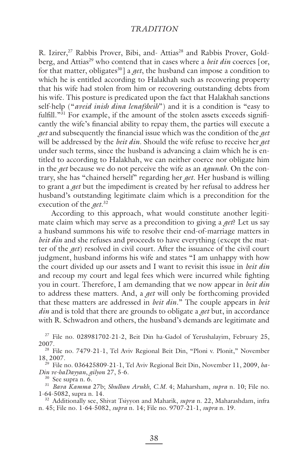R. Izirer,<sup>27</sup> Rabbis Prover, Bibi, and- Attias<sup>28</sup> and Rabbis Prover, Goldberg, and Attias<sup>29</sup> who contend that in cases where a *beit din* coerces [or, for that matter, obligates<sup>30</sup>] a *get*, the husband can impose a condition to which he is entitled according to Halakhah such as recovering property that his wife had stolen from him or recovering outstanding debts from his wife. This posture is predicated upon the fact that Halakhah sanctions self-help ("*aveid inish dina lenafsheih*") and it is a condition is "easy to fulfill."<sup>31</sup> For example, if the amount of the stolen assets exceeds significantly the wife's financial ability to repay them, the parties will execute a *get* and subsequently the financial issue which was the condition of the *get* will be addressed by the *beit din*. Should the wife refuse to receive her *get* under such terms, since the husband is advancing a claim which he is entitled to according to Halakhah, we can neither coerce nor obligate him in the *get* because we do not perceive the wife as an *agunah*. On the contrary, she has "chained herself" regarding her *get*. Her husband is willing to grant a *get* but the impediment is created by her refusal to address her husband's outstanding legitimate claim which is a precondition for the execution of the *get*. 32

According to this approach, what would constitute another legitimate claim which may serve as a precondition to giving a *get*? Let us say a husband summons his wife to resolve their end-of-marriage matters in *beit din* and she refuses and proceeds to have everything (except the matter of the *get*) resolved in civil court. After the issuance of the civil court judgment, husband informs his wife and states "I am unhappy with how the court divided up our assets and I want to revisit this issue in *beit din* and recoup my court and legal fees which were incurred while fighting you in court. Therefore, I am demanding that we now appear in *beit din* to address these matters. And, a *get* will only be forthcoming provided that these matters are addressed in *beit din*." The couple appears in *beit din* and is told that there are grounds to obligate a *get* but, in accordance with R. Schwadron and others, the husband's demands are legitimate and

27 File no. 028981702-21-2, Beit Din ha-Gadol of Yerushalayim, February 25, 2007.

<sup>28</sup> File no. 7479-21-1, Tel Aviv Regional Beit Din, "Ploni v. Plonit," November 18, 2007.

29 File no. 036425809-21-1, Tel Aviv Regional Beit Din, November 11, 2009, *ha-Din ve-haDayyan*, *gilyon* 27, 5-6.

30 See supra n. 6.

<sup>31</sup> *Bava Kamma* 27b; *Shulhan Arukh*, *C.M.* 4; Maharsham, *supra* n. 10; File no. 1-64-5082, supra n. 14.

32 Additionally see, Shivat Tsiyyon and Maharik, *supra* n. 22, Maharashdam, infra n. 45; File no. 1-64-5082, *supra* n. 14; File no. 9707-21-1, *supra* n. 19.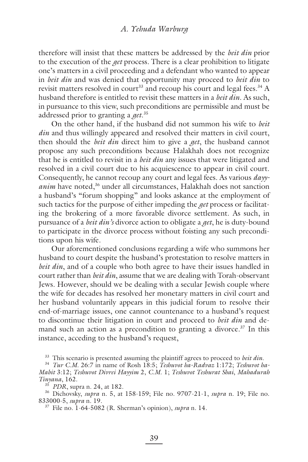therefore will insist that these matters be addressed by the *beit din* prior to the execution of the *get* process*.* There is a clear prohibition to litigate one's matters in a civil proceeding and a defendant who wanted to appear in *beit din* and was denied that opportunity may proceed to *beit din* to revisit matters resolved in court<sup>33</sup> and recoup his court and legal fees.<sup>34</sup> A husband therefore is entitled to revisit these matters in a *beit din*. As such, in pursuance to this view, such preconditions are permissible and must be addressed prior to granting a *get*. 35

On the other hand, if the husband did not summon his wife to *beit din* and thus willingly appeared and resolved their matters in civil court, then should the *beit din* direct him to give a *get*, the husband cannot propose any such preconditions because Halakhah does not recognize that he is entitled to revisit in a *beit din* any issues that were litigated and resolved in a civil court due to his acquiescence to appear in civil court. Consequently, he cannot recoup any court and legal fees. As various *dayy*anim have noted,<sup>36</sup> under all circumstances, Halakhah does not sanction a husband's "forum shopping" and looks askance at the employment of such tactics for the purpose of either impeding the *get* process or facilitating the brokering of a more favorable divorce settlement. As such, in pursuance of a *beit din's* divorce action to obligate a *get*, he is duty-bound to participate in the divorce process without foisting any such preconditions upon his wife.

Our aforementioned conclusions regarding a wife who summons her husband to court despite the husband's protestation to resolve matters in *beit din*, and of a couple who both agree to have their issues handled in court rather than *beit din*, assume that we are dealing with Torah-observant Jews. However, should we be dealing with a secular Jewish couple where the wife for decades has resolved her monetary matters in civil court and her husband voluntarily appears in this judicial forum to resolve their end-of-marriage issues, one cannot countenance to a husband's request to discontinue their litigation in court and proceed to *beit din* and demand such an action as a precondition to granting a divorce.<sup>37</sup> In this instance, acceding to the husband's request,

33 This scenario is presented assuming the plaintiff agrees to proceed to *beit din*.

<sup>34</sup> *Tur C.M.* 26:7 in name of Rosh 18:5; *Teshuvot ha-Radvaz* 1:172; *Teshuvot ha-Mabit* 3:12; *Teshuvot Divrei Hayyim* 2, *C.M*. 1; *Teshuvot Teshurat Shai*, *Mahadurah Tinyana*, 162.

<sup>35</sup> *PDR*, supra n. 24, at 182.

36 Dichovsky, *supra* n. 5, at 158-159; File no. 9707-21-1, *supra* n. 19; File no. 833000-5, *supra* n. 19.

37 File no. 1-64-5082 (R. Sherman's opinion), *supra* n. 14.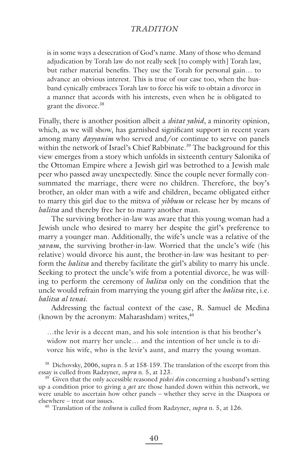is in some ways a desecration of God's name. Many of those who demand adjudication by Torah law do not really seek [to comply with] Torah law, but rather material benefits. They use the Torah for personal gain... to advance an obvious interest. This is true of our case too, when the husband cynically embraces Torah law to force his wife to obtain a divorce in a manner that accords with his interests, even when he is obligated to grant the divorce.<sup>38</sup>

Finally, there is another position albeit a *shitat yahid*, a minority opinion, which, as we will show, has garnished significant support in recent years among many *dayyanim* who served and/or continue to serve on panels within the network of Israel's Chief Rabbinate.<sup>39</sup> The background for this view emerges from a story which unfolds in sixteenth century Salonika of the Ottoman Empire where a Jewish girl was betrothed to a Jewish male peer who passed away unexpectedly. Since the couple never formally consummated the marriage, there were no children. Therefore, the boy's brother, an older man with a wife and children, became obligated either to marry this girl due to the mitsva of *yibbum* or release her by means of *halitsa* and thereby free her to marry another man.

The surviving brother-in-law was aware that this young woman had a Jewish uncle who desired to marry her despite the girl's preference to marry a younger man. Additionally, the wife's uncle was a relative of the *yavam*, the surviving brother-in-law. Worried that the uncle's wife (his relative) would divorce his aunt, the brother-in-law was hesitant to perform the *halitsa* and thereby facilitate the girl's ability to marry his uncle. Seeking to protect the uncle's wife from a potential divorce, he was willing to perform the ceremony of *halitsa* only on the condition that the uncle would refrain from marrying the young girl after the *halitsa* rite, i.e. *halitsa al tenai*.

Addressing the factual context of the case, R. Samuel de Medina (known by the acronym: Maharashdam) writes, $40$ 

…the levir is a decent man, and his sole intention is that his brother's widow not marry her uncle… and the intention of her uncle is to divorce his wife, who is the levir's aunt, and marry the young woman.

<sup>38</sup> Dichovsky, 2006, supra n. 5 at 158-159. The translation of the excerpt from this essay is culled from Radzyner, *supra* n. 5, at 123.

<sup>39</sup> Given that the only accessible reasoned *piskei din* concerning a husband's setting up a condition prior to giving a *get* are those handed down within this network, we were unable to ascertain how other panels – whether they serve in the Diaspora or elsewhere – treat our issues.

40 Translation of the *teshuva* is culled from Radzyner, *supra* n. 5, at 126.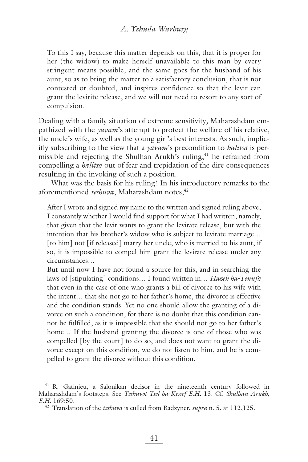### *A. Yehuda Warburg*

To this I say, because this matter depends on this, that it is proper for her (the widow) to make herself unavailable to this man by every stringent means possible, and the same goes for the husband of his aunt, so as to bring the matter to a satisfactory conclusion, that is not contested or doubted, and inspires confidence so that the levir can grant the levirite release, and we will not need to resort to any sort of compulsion.

Dealing with a family situation of extreme sensitivity*,* Maharashdam empathized with the *yavam*'s attempt to protect the welfare of his relative, the uncle's wife, as well as the young girl's best interests. As such, implicitly subscribing to the view that a *yavam*'s precondition to *halitsa* is permissible and rejecting the Shulhan Arukh's ruling,<sup>41</sup> he refrained from compelling a *halitsa* out of fear and trepidation of the dire consequences resulting in the invoking of such a position.

What was the basis for his ruling? In his introductory remarks to the aforementioned *teshuva*, Maharashdam notes,<sup>42</sup>

After I wrote and signed my name to the written and signed ruling above, I constantly whether I would find support for what I had written, namely, that given that the levir wants to grant the levirate release, but with the intention that his brother's widow who is subject to levirate marriage… [to him] not [if released] marry her uncle, who is married to his aunt, if so, it is impossible to compel him grant the levirate release under any circumstances…

But until now I have not found a source for this, and in searching the laws of [stipulating] conditions… I found written in… *Hazeh ha-Tenufa* that even in the case of one who grants a bill of divorce to his wife with the intent… that she not go to her father's home, the divorce is effective and the condition stands. Yet no one should allow the granting of a divorce on such a condition, for there is no doubt that this condition cannot be fulfilled, as it is impossible that she should not go to her father's home… If the husband granting the divorce is one of those who was compelled [by the court] to do so, and does not want to grant the divorce except on this condition, we do not listen to him, and he is compelled to grant the divorce without this condition.

<sup>41</sup> R. Gatinieu, a Salonikan decisor in the nineteenth century followed in Maharashdam's footsteps. See *Teshuvot Tsel ha-Kessef E.H.* 13. Cf. *Shulhan Arukh*, *E.H.* 169:50.

<sup>42</sup> Translation of the *teshuva* is culled from Radzyner, *supra* n. 5, at 112,125.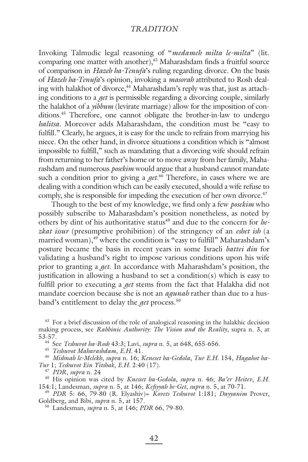Invoking Talmudic legal reasoning of "*medameh milta le-milta*" (lit. comparing one matter with another), $43$  Maharashdam finds a fruitful source of comparison in *Hazeh ha-Tenufa*'s ruling regarding divorce. On the basis of *Hazeh ha-Tenufa*'s opinion, invoking a *masorah* attributed to Rosh dealing with halakhot of divorce,<sup>44</sup> Maharashdam's reply was that, just as attaching conditions to a *get* is permissible regarding a divorcing couple, similarly the halakhot of a *yibbum* (levirate marriage) allow for the imposition of conditions.45 Therefore, one cannot obligate the brother-in-law to undergo *halitsa*. Moreover adds Maharashdam, the condition must be "easy to fulfill." Clearly, he argues, it is easy for the uncle to refrain from marrying his niece. On the other hand, in divorce situations a condition which is "almost impossible to fulfill," such as mandating that a divorcing wife should refrain from returning to her father's home or to move away from her family, Maharashdam and numerous *posekim* would argue that a husband cannot mandate such a condition prior to giving a *get*. 46 Therefore, in cases where we are dealing with a condition which can be easily executed, should a wife refuse to comply, she is responsible for impeding the execution of her own divorce.<sup>47</sup>

Though to the best of my knowledge, we find only a few *posekim* who possibly subscribe to Maharashdam's position nonetheless, as noted by others by dint of his authoritative status<sup>48</sup> and due to the concern for *hezkat issur* (presumptive prohibition) of the stringency of an *eshet ish* (a married woman),<sup>49</sup> where the condition is "easy to fulfill" Maharashdam's posture became the basis in recent years in some Israeli *battei din* for validating a husband's right to impose various conditions upon his wife prior to granting a *get*. In accordance with Maharashdam's position, the justification in allowing a husband to set a condition(s) which is easy to fulfill prior to executing a *get* stems from the fact that Halakha did not mandate coercion because she is not an *agunah* rather than due to a husband's entitlement to delay the *get* process.<sup>50</sup>

<sup>43</sup> For a brief discussion of the role of analogical reasoning in the halakhic decision making process, see *Rabbinic Authority: The Vision and the Reality*, supra n. 3, at 53-57.

44 See *Teshuvot ha-Rosh* 43:3; Lavi, *supra* n. 5, at 648, 655-656.

<sup>45</sup> *Teshuvot Maharashdam*, *E.H.* 41.

<sup>46</sup> *Mishnah le-Melekh*, *supra* n. 16; *Keneset ha-Gedola*, *Tur E.H.* 154, *Hagahot ha-Tur* 1; *Teshuvot Ein Yitshak*, *E.H.* 2:40 (17).

<sup>48</sup> His opinion was cited by *Knesset ha-Gedola*, *supra* n. 46; *Ba'er Heitev*, *E.H.* 154:1; Landesman, *supra* n. 5, at 146; *Kefi yyah be-Get*, *supra* n. 5, at 70-71.

<sup>49</sup> *PDR* 5: 66, 79-80 (R. Elyashiv)= *Kovets Teshuvot* 1:181; *Dayyanim* Prover, Goldberg, and Bibi, *supra* n. 5, at 157.

50 Landesman, *supra* n. 5, at 146; *PDR* 66, 79-80.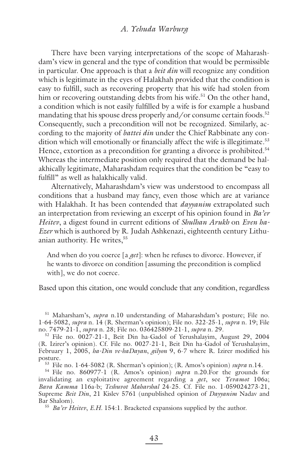There have been varying interpretations of the scope of Maharashdam's view in general and the type of condition that would be permissible in particular. One approach is that a *beit din* will recognize any condition which is legitimate in the eyes of Halakhah provided that the condition is easy to fulfill, such as recovering property that his wife had stolen from him or recovering outstanding debts from his wife.<sup>51</sup> On the other hand, a condition which is not easily fulfilled by a wife is for example a husband mandating that his spouse dress properly and/or consume certain foods.<sup>52</sup> Consequently, such a precondition will not be recognized. Similarly, according to the majority of *battei din* under the Chief Rabbinate any condition which will emotionally or financially affect the wife is illegitimate.<sup>53</sup> Hence, extortion as a precondition for granting a divorce is prohibited.<sup>54</sup> Whereas the intermediate position only required that the demand be halakhically legitimate, Maharashdam requires that the condition be "easy to fulfill" as well as halakhically valid.

Alternatively, Maharashdam's view was understood to encompass all conditions that a husband may fancy, even those which are at variance with Halakhah. It has been contended that *dayyanim* extrapolated such an interpretation from reviewing an excerpt of his opinion found in *Ba'er Heitev*, a digest found in current editions of *Shulhan Arukh* on *Even ha-Ezer* which is authored by R. Judah Ashkenazi, eighteenth century Lithuanian authority. He writes,<sup>55</sup>

And when do you coerce [a *get*]: when he refuses to divorce. However, if he wants to divorce on condition [assuming the precondition is complied with], we do not coerce.

Based upon this citation, one would conclude that any condition, regardless

51 Maharsham's, *supra* n.10 understanding of Maharashdam's posture; File no. 1-64-5082, *supra* n. 14 (R. Sherman's opinion); File no. 322-25-1, *supra* n. 19; File no. 7479-21-1, *supra* n. 28; File no. 036425809-21-1, *supra* n. 29.

52 File no. 0027-21-1, Beit Din ha-Gadol of Yerushalayim, August 29, 2004 (R. Izirer's opinion). Cf. File no. 0027-21-1, Beit Din ha-Gadol of Yerushalayim, February 1, 2005, *ha-Din ve-haDayan, gilyon* 9, 6-7 where R. Izirer modified his posture.

53 File no. 1-64-5082 (R. Sherman's opinion); (R. Amos's opinion) *supra* n.14.

54 File no. 860977-1 (R. Amos's opinion) *supra* n.20.For the grounds for invalidating an exploitative agreement regarding a *get*, see *Yevamot* 106a; *Bava Kamma* 116a-b; *Teshuvot Maharshal* 24-25. Cf. File no. 1-059024273-21, Supreme *Beit Din*, 21 Kislev 5761 (unpublished opinion of *Dayyanim* Nadav and Bar Shalom).

<sup>55</sup> *Ba'er Heitev*, *E.H.* 154:1. Bracketed expansions supplied by the author.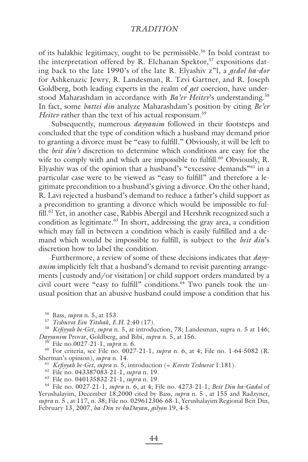of its halakhic legitimacy, ought to be permissible.<sup>56</sup> In bold contrast to the interpretation offered by R. Elchanan Spektor,<sup>57</sup> expositions dating back to the late 1990's of the late R. Elyashiv z"l, a *gedol ha-dor* for Ashkenazic Jewry, R. Landesman, R. Tzvi Gartner, and R. Joseph Goldberg, both leading experts in the realm of *get* coercion, have understood Maharashdam in accordance with *Ba'er Heitev*'s understanding.<sup>58</sup> In fact, some *battei din* analyze Maharashdam's position by citing *Be'er Heitev* rather than the text of his actual responsum.<sup>59</sup>

Subsequently, numerous *dayyanim* followed in their footsteps and concluded that the type of condition which a husband may demand prior to granting a divorce must be "easy to fulfill." Obviously, it will be left to the *beit din's* discretion to determine which conditions are easy for the wife to comply with and which are impossible to fulfill.<sup>60</sup> Obviously, R. Elyashiv was of the opinion that a husband's "excessive demands"61 in a particular case were to be viewed as "easy to fulfill" and therefore a legitimate precondition to a husband's giving a divorce. On the other hand, R. Lavi rejected a husband's demand to reduce a father's child support as a precondition to granting a divorce which would be impossible to fulfill.<sup>62</sup> Yet, in another case, Rabbis Abergil and Hershrik recognized such a condition as legitimate.<sup>63</sup> In short, addressing the gray area, a condition which may fall in between a condition which is easily fulfilled and a demand which would be impossible to fulfill, is subject to the *beit din*'s discretion how to label the condition.

Furthermore, a review of some of these decisions indicates that *dayyanim* implicitly felt that a husband's demand to revisit parenting arrangements [custody and/or visitation] or child support orders mandated by a civil court were "easy to fulfill" conditions.<sup>64</sup> Two panels took the unusual position that an abusive husband could impose a condition that his

56 Bass, *supra* n. 5, at 153. 57 *Teshuvot Ein Yitshak*, *E.H.* 2:40 (17).

<sup>58</sup> *Kefiyyah be-Get, supra* n. 5, at introduction, 78; Landesman, supra n. 5 at 146; *Dayyanim* Provar, Goldberg, and Bibi, *supra* n. 5, at 156. 59 File no.0027-21-1, *supra* n. 6.

60 For criteria, see File no. 0027-21-1, *supra* n. 6, at 4; File no. 1-64-5082 (R. Sherman's opinion), *supra* n. 14.

<sup>61</sup> *Kefi yyah be-Get*, *supra* n. 5, introduction (= *Kovets Teshuvot* 1:181).

62 File no. 043387083-21-1, *supra* n. 19.

63 File no. 040135832-21-1, *supra* n. 19.

64 File no. 0027-21-1, *supra* n. 6, at 4; File no. 4273-21-1, *Beit Din ha-Gadol* of Yerushalayim, December 18,2000 cited by Bass, *supra* n. 5 , at 155 and Radzyner, *supra* n. 5 , at 117, n. 38; File no. 029612306-68-1, Yerushalayim Regional Beit Din, February 13, 2007, *ha-Din ve-haDayan*, *gilyon* 19, 4-5.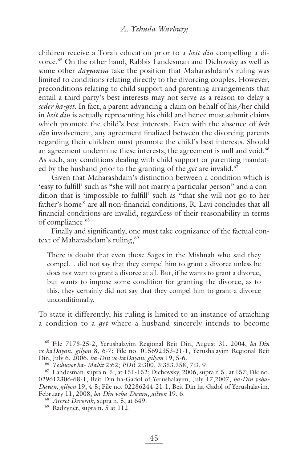children receive a Torah education prior to a *beit din* compelling a divorce.<sup>65</sup> On the other hand, Rabbis Landesman and Dichovsky as well as some other *dayyanim* take the position that Maharashdam's ruling was limited to conditions relating directly to the divorcing couples. However, preconditions relating to child support and parenting arrangements that entail a third party's best interests may not serve as a reason to delay a *seder ha-get*. In fact, a parent advancing a claim on behalf of his/her child in *beit din* is actually representing his child and hence must submit claims which promote the child's best interests. Even with the absence of *beit din* involvement, any agreement finalized between the divorcing parents regarding their children must promote the child's best interests. Should an agreement undermine these interests, the agreement is null and void.<sup>66</sup> As such, any conditions dealing with child support or parenting mandated by the husband prior to the granting of the *get* are invalid.<sup>67</sup>

Given that Maharashdam's distinction between a condition which is 'easy to fulfill' such as "she will not marry a particular person" and a condition that is 'impossible to fulfill' such as "that she will not go to her father's home" are all non-financial conditions, R. Lavi concludes that all financial conditions are invalid, regardless of their reasonability in terms of compliance.<sup>68</sup>

Finally and significantly, one must take cognizance of the factual context of Maharashdam's ruling,<sup>69</sup>

There is doubt that even those Sages in the Mishnah who said they compel… did not say that they compel him to grant a divorce unless he does not want to grant a divorce at all. But, if he wants to grant a divorce, but wants to impose some condition for granting the divorce, as to this, they certainly did not say that they compel him to grant a divorce unconditionally.

To state it differently, his ruling is limited to an instance of attaching a condition to a *get* where a husband sincerely intends to become

65 File 7178-25-2, Yerushalayim Regional Beit Din, August 31, 2004, *ha-Din ve-ha Dayan*, *gilyon* 8, 6-7; File no. 015692353-21-1, Yerushalayim Regional Beit Din, July 6, 2006, *ha-Din ve-haDayan*, *gilyon* 19, 5-6.

<sup>66</sup> *Teshuvot ha- Mabit* 2:62; *PDR* 2:300, 3:353,358, 7:3, 9.

 $^{67}$  Landesman, supra n. 5, at 151-152; Dichovsky, 2006, supra n.5, at 157; File no. 029612306-68-1, Beit Din ha-Gadol of Yerushalayim, July 17,2007, *ha-Din veha-Dayan*, *gilyon* 19, 4-5; File no. 02286244-21-1, Beit Din ha-Gadol of Yerushalayim, February 11, 2008, *ha-Din veha-Dayan*, *gilyon* 19, 6.

<sup>68</sup> *Ateret Devorah*, supra n. 5, at 649.

69 Radzyner, supra n. 5 at 112.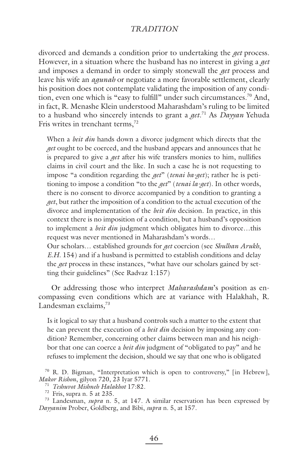divorced and demands a condition prior to undertaking the *get* process. However, in a situation where the husband has no interest in giving a *get*  and imposes a demand in order to simply stonewall the *get* process and leave his wife an *agunah* or negotiate a more favorable settlement, clearly his position does not contemplate validating the imposition of any condition, even one which is "easy to fulfill" under such circumstances.<sup>70</sup> And, in fact, R. Menashe Klein understood Maharashdam's ruling to be limited to a husband who sincerely intends to grant a *get*. 71 As *Dayyan* Yehuda Fris writes in trenchant terms, $72$ 

When a *beit din* hands down a divorce judgment which directs that the *get* ought to be coerced, and the husband appears and announces that he is prepared to give a *get* after his wife transfers monies to him, nullifies claims in civil court and the like. In such a case he is not requesting to impose "a condition regarding the *get*" (*tenai ba-get*); rather he is petitioning to impose a condition "to the *get*" (*tenai la-get*). In other words, there is no consent to divorce accompanied by a condition to granting a *get*, but rather the imposition of a condition to the actual execution of the divorce and implementation of the *beit din* decision. In practice, in this context there is no imposition of a condition, but a husband's opposition to implement a *beit din* judgment which obligates him to divorce…this request was never mentioned in Maharashdam's words…

Our scholars… established grounds for *get* coercion (see *Shulhan Arukh*, *E.H.* 154) and if a husband is permitted to establish conditions and delay the *get* process in these instances, "what have our scholars gained by setting their guidelines" (See Radvaz 1:157)

Or addressing those who interpret *Maharashdam*'s position as encompassing even conditions which are at variance with Halakhah, R. Landesman exclaims*,* 73

Is it logical to say that a husband controls such a matter to the extent that he can prevent the execution of a *beit din* decision by imposing any condition? Remember, concerning other claims between man and his neighbor that one can coerce a *beit din* judgment of "obligated to pay" and he refuses to implement the decision, should we say that one who is obligated

<sup>70</sup> R. D. Bigman, "Interpretation which is open to controversy," [in Hebrew], *Makor Rishon*, gilyon 720, 23 Iyar 5771.

<sup>71</sup> *Teshuvot Mishneh Halakhot* 17:82.

 $72$  Fris, supra n. 5 at 235.

<sup>73</sup> Landesman, *supra* n. 5, at 147. A similar reservation has been expressed by *Dayyanim* Prober, Goldberg, and Bibi, *supra* n. 5, at 157.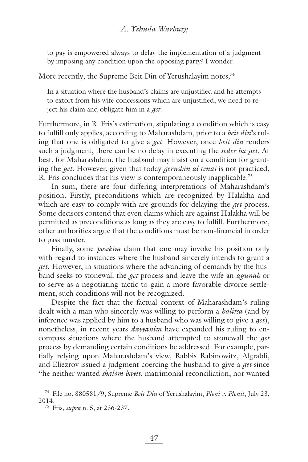to pay is empowered always to delay the implementation of a judgment by imposing any condition upon the opposing party? I wonder.

More recently*,* the Supreme Beit Din of Yerushalayim notes*,* 74

In a situation where the husband's claims are unjustified and he attempts to extort from his wife concessions which are unjustified, we need to reject his claim and obligate him in a *get*.

Furthermore, in R. Fris's estimation, stipulating a condition which is easy to fulfill only applies, according to Maharashdam, prior to a *beit din*'s ruling that one is obligated to give a *get*. However, once *beit din* renders such a judgment, there can be no delay in executing the *seder ha-get*. At best, for Maharashdam, the husband may insist on a condition for granting the *get*. However, given that today *gerushin al tenai* is not practiced, R. Fris concludes that his view is contemporaneously inapplicable.<sup>75</sup>

In sum, there are four differing interpretations of Maharashdam's position. Firstly, preconditions which are recognized by Halakha and which are easy to comply with are grounds for delaying the *get* process. Some decisors contend that even claims which are against Halakha will be permitted as preconditions as long as they are easy to fulfill. Furthermore, other authorities argue that the conditions must be non-financial in order to pass muster.

Finally, some *posekim* claim that one may invoke his position only with regard to instances where the husband sincerely intends to grant a *get*. However, in situations where the advancing of demands by the husband seeks to stonewall the *get* process and leave the wife an *agunah* or to serve as a negotiating tactic to gain a more favorable divorce settlement, such conditions will not be recognized.

Despite the fact that the factual context of Maharashdam's ruling dealt with a man who sincerely was willing to perform a *halitsa* (and by inference was applied by him to a husband who was willing to give a *get*), nonetheless, in recent years *dayyanim* have expanded his ruling to encompass situations where the husband attempted to stonewall the *get* process by demanding certain conditions be addressed. For example, partially relying upon Maharashdam's view, Rabbis Rabinowitz, Algrabli, and Eliezrov issued a judgment coercing the husband to give a *get* since "he neither wanted *shalom bayit*, matrimonial reconciliation, nor wanted

<sup>74</sup> File no. 880581/9, Supreme *Beit Din* of Yerushalayim, *Ploni v. Plonit*, July 23, 2014.

<sup>75</sup> Fris, *supra* n. 5, at 236-237.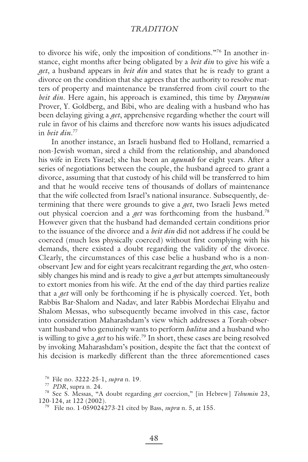to divorce his wife, only the imposition of conditions."76 In another instance, eight months after being obligated by a *beit din* to give his wife a *get*, a husband appears in *beit din* and states that he is ready to grant a divorce on the condition that she agrees that the authority to resolve matters of property and maintenance be transferred from civil court to the *beit din*. Here again, his approach is examined, this time by *Dayyanim* Prover, Y. Goldberg, and Bibi, who are dealing with a husband who has been delaying giving a *get*, apprehensive regarding whether the court will rule in favor of his claims and therefore now wants his issues adjudicated in *beit din*. 77

In another instance, an Israeli husband fled to Holland, remarried a non-Jewish woman, sired a child from the relationship, and abandoned his wife in Erets Yisrael; she has been an *agunah* for eight years. After a series of negotiations between the couple, the husband agreed to grant a divorce, assuming that that custody of his child will be transferred to him and that he would receive tens of thousands of dollars of maintenance that the wife collected from Israel's national insurance. Subsequently, determining that there were grounds to give a *get*, two Israeli Jews meted out physical coercion and a *get* was forthcoming from the husband.78 However given that the husband had demanded certain conditions prior to the issuance of the divorce and a *beit din* did not address if he could be coerced (much less physically coerced) without first complying with his demands, there existed a doubt regarding the validity of the divorce. Clearly, the circumstances of this case belie a husband who is a nonobservant Jew and for eight years recalcitrant regarding the *get*, who ostensibly changes his mind and is ready to give a *get* but attempts simultaneously to extort monies from his wife. At the end of the day third parties realize that a *get* will only be forthcoming if he is physically coerced. Yet, both Rabbis Bar-Shalom and Nadav, and later Rabbis Mordechai Eliyahu and Shalom Messas, who subsequently became involved in this case, factor into consideration Maharashdam's view which addresses a Torah-observant husband who genuinely wants to perform *halitsa* and a husband who is willing to give a *get* to his wife.79 In short, these cases are being resolved by invoking Maharashdam's position, despite the fact that the context of his decision is markedly different than the three aforementioned cases

<sup>76</sup> File no. 3222-25-1, *supra* n. 19.

<sup>77</sup> *PDR*, supra n. 24.

<sup>78</sup> See S. Messas, "A doubt regarding *get* coercion," [in Hebrew] *Tehumin* 23, 120-124, at 122 (2002).

<sup>79</sup> File no. 1-059024273-21 cited by Bass, *supra* n. 5, at 155.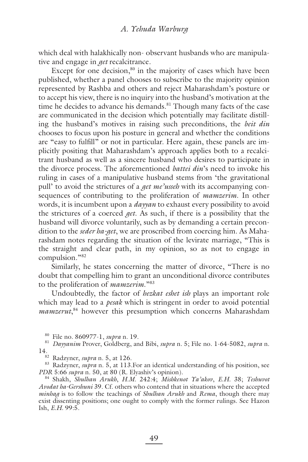which deal with halakhically non- observant husbands who are manipulative and engage in *get* recalcitrance.

Except for one decision, $80$  in the majority of cases which have been published, whether a panel chooses to subscribe to the majority opinion represented by Rashba and others and reject Maharashdam's posture or to accept his view, there is no inquiry into the husband's motivation at the time he decides to advance his demands.<sup>81</sup> Though many facts of the case are communicated in the decision which potentially may facilitate distilling the husband's motives in raising such preconditions, the *beit din* chooses to focus upon his posture in general and whether the conditions are "easy to fulfill" or not in particular. Here again, these panels are implicitly positing that Maharashdam's approach applies both to a recalcitrant husband as well as a sincere husband who desires to participate in the divorce process. The aforementioned *battei din*'s need to invoke his ruling in cases of a manipulative husband stems from 'the gravitational pull' to avoid the strictures of a *get me'usseh* with its accompanying consequences of contributing to the proliferation of *mamzerim*. In other words, it is incumbent upon a *dayyan* to exhaust every possibility to avoid the strictures of a coerced *get*. As such, if there is a possibility that the husband will divorce voluntarily, such as by demanding a certain precondition to the *seder ha-get*, we are proscribed from coercing him. As Maharashdam notes regarding the situation of the levirate marriage, "This is the straight and clear path, in my opinion, so as not to engage in compulsion."82

Similarly, he states concerning the matter of divorce, "There is no doubt that compelling him to grant an unconditional divorce contributes to the proliferation of *mamzerim*."83

Undoubtedly, the factor of *hezkat eshet ish* plays an important role which may lead to a *pesak* which is stringent in order to avoid potential *mamzerut*, 84 however this presumption which concerns Maharashdam

83 Radzyner, *supra* n. 5, at 113.For an identical understanding of his position, see *PDR* 5:66 *supra* n. 50, at 80 (R. Elyashiv's opinion).

84 Shakh, *Shulhan Arukh*, *H.M.* 242:4; *Mishkenot Ya'akov*, *E.H.* 38; *Teshuvot Avodat ha-Gershuni* 39. Cf. others who contend that in situations where the accepted *minhag* is to follow the teachings of *Shulhan Arukh* and *Rema*, though there may exist dissenting positions; one ought to comply with the former rulings. See Hazon Ish, *E.H.* 99:5.

<sup>80</sup> File no. 860977-1, *supra* n. 19. 81 *Dayyanim* Prover, Goldberg, and Bibi, *supra* n. 5; File no. 1-64-5082, *supra* n. 14. 82 Radzyner, *supra* n. 5, at 126.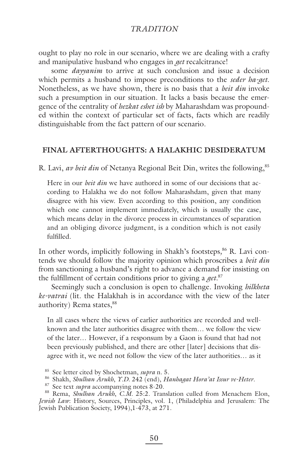ought to play no role in our scenario, where we are dealing with a crafty and manipulative husband who engages in *get* recalcitrance!

some *dayyanim* to arrive at such conclusion and issue a decision which permits a husband to impose preconditions to the *seder ha-get*. Nonetheless, as we have shown, there is no basis that a *beit din* invoke such a presumption in our situation. It lacks a basis because the emergence of the centrality of *hezkat eshet ish* by Maharashdam was propounded within the context of particular set of facts, facts which are readily distinguishable from the fact pattern of our scenario.

#### **FINAL AFTERTHOUGHTS: A HALAKHIC DESIDERATUM**

R. Lavi, av beit din of Netanya Regional Beit Din, writes the following,<sup>85</sup>

Here in our *beit din* we have authored in some of our decisions that according to Halakha we do not follow Maharashdam, given that many disagree with his view. Even according to this position, any condition which one cannot implement immediately, which is usually the case, which means delay in the divorce process in circumstances of separation and an obliging divorce judgment, is a condition which is not easily fulfilled.

In other words*,* implicitly following in Shakh's footsteps*,* <sup>86</sup> R. Lavi contends we should follow the majority opinion which proscribes a *beit din* from sanctioning a husband's right to advance a demand for insisting on the fulfillment of certain conditions prior to giving a *get*.<sup>87</sup>

Seemingly such a conclusion is open to challenge. Invoking *hilkheta ke-vatrai* (lit. the Halakhah is in accordance with the view of the later authority) Rema states, 88

In all cases where the views of earlier authorities are recorded and wellknown and the later authorities disagree with them… we follow the view of the later… However, if a responsum by a Gaon is found that had not been previously published, and there are other [later] decisions that disagree with it, we need not follow the view of the later authorities… as it

- 85 See letter cited by Shochetman, *supra* n. 5. 86 Shakh, *Shulhan Arukh*, *Y.D.* 242 (end), *Hanhagat Hora'at Issur ve-Heter*.
- 87 See text *supra* accompanying notes 8-20.

88 Rema, *Shulhan Arukh*, *C.M.* 25:2. Translation culled from Menachem Elon, *Jewish Law*: History, Sources, Principles, vol. 1, (Philadelphia and Jerusalem: The Jewish Publication Society, 1994),1-473, at 271.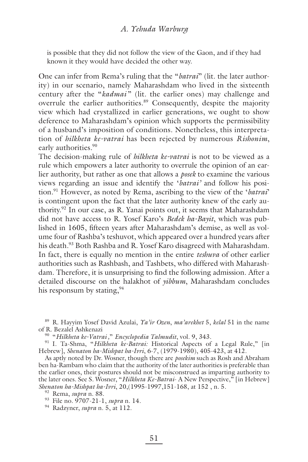is possible that they did not follow the view of the Gaon, and if they had known it they would have decided the other way.

One can infer from Rema's ruling that the "*batrai*" (lit. the later authority) in our scenario, namely Maharashdam who lived in the sixteenth century after the "*kadmai* " (lit. the earlier ones) may challenge and overrule the earlier authorities.<sup>89</sup> Consequently, despite the majority view which had crystallized in earlier generations, we ought to show deference to Maharashdam's opinion which supports the permissibility of a husband's imposition of conditions*.* Nonetheless, this interpretation of *hilkheta ke-vatrai* has been rejected by numerous *Rishonim*, early authorities*.* 90

The decision-making rule of *hilkheta ke-vatrai* is not to be viewed as a rule which empowers a later authority to overrule the opinion of an earlier authority, but rather as one that allows a *posek* to examine the various views regarding an issue and identify the '*batrai'* and follow his position.91 However, as noted by Rema, ascribing to the view of the '*batrai*' is contingent upon the fact that the later authority knew of the early authority.92 In our case, as R. Yanai points out, it seems that Maharashdam did not have access to R. Yosef Karo's *Bedek ha-Bayit*, which was published in 1605, fifteen years after Maharashdam's demise, as well as volume four of Rashba's teshuvot, which appeared over a hundred years after his death.<sup>93</sup> Both Rashba and R. Yosef Karo disagreed with Maharashdam. In fact, there is equally no mention in the entire *teshuva* of other earlier authorities such as Rashbash, and Tashbets, who differed with Maharashdam. Therefore, it is unsurprising to find the following admission. After a detailed discourse on the halakhot of *yibbum*, Maharashdam concludes his responsum by stating,  $94$ 

89 R. Hayyim Yosef David Azulai, *Ya'ir Ozen*, *ma'arekhet* 5, *kelal* 51 in the name of R. Bezalel Ashkenazi

90 "*Hilkheta ke-Vatrai ,*" *Encyclopedia Talmudit*, vol. 9, 343.

91 I. Ta-Shma, "*Hilkheta ke-Batrai:* Historical Aspects of a Legal Rule," [in Hebrew], *Shenaton ha-Mishpat ha-Ivri*, 6-7, (1979-1980), 405-423, at 412.

As aptly noted by Dr. Wosner, though there are *posekim* such as Rosh and Abraham ben ha-Rambam who claim that the authority of the later authorities is preferable than the earlier ones, their postures should not be misconstrued as imparting authority to the later ones. See S. Wosner, "*Hilkheta Ke-Batrai*- A New Perspective," [in Hebrew] *Shenaton ha-Mishpat ha-Ivri*, 20,(1995-1997,151-168, at 152 , n. 5.

93 File no. 9707-21-1, *supra* n. 14.

94 Radzyner, *supra* n. 5, at 112.

<sup>92</sup> Rema, *supra* n. 88.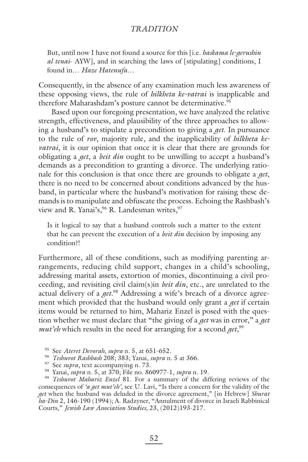But, until now I have not found a source for this [i.e. *haskama le-gerushin al tenai*- AYW], and in searching the laws of [stipulating] conditions, I found in… *Haze Hatenufa*…

Consequently, in the absence of any examination much less awareness of these opposing views, the rule of *hilkheta ke-vatrai* is inapplicable and therefore Maharashdam's posture cannot be determinative.<sup>95</sup>

Based upon our foregoing presentation, we have analyzed the relative strength, effectiveness, and plausibility of the three approaches to allowing a husband's to stipulate a precondition to giving a *get*. In pursuance to the rule of *rov*, majority rule, and the inapplicability of *hilkheta kevatrai*, it is our opinion that once it is clear that there are grounds for obligating a *get*, a *beit din* ought to be unwilling to accept a husband's demands as a precondition to granting a divorce. The underlying rationale for this conclusion is that once there are grounds to obligate a *get*, there is no need to be concerned about conditions advanced by the husband, in particular where the husband's motivation for raising these demands is to manipulate and obfuscate the process. Echoing the Rashbash's view and R. Yanai's, <sup>96</sup> R. Landesman writes, <sup>97</sup>

Is it logical to say that a husband controls such a matter to the extent that he can prevent the execution of a *beit din* decision by imposing any condition?!

Furthermore, all of these conditions, such as modifying parenting arrangements, reducing child support, changes in a child's schooling, addressing marital assets, extortion of monies, discontinuing a civil proceeding, and revisiting civil claim(s)in *beit din*, etc., are unrelated to the actual delivery of a *get*. 98 Addressing a wife's breach of a divorce agreement which provided that the husband would only grant a *get* if certain items would be returned to him, Mahariz Enzel is posed with the question whether we must declare that "the giving of a *get* was in error," a *get mut'eh* which results in the need for arranging for a second *get*, 99

95 See *Ateret Devorah*, *supra* n. 5, at 651-652.

<sup>96</sup> *Teshuvot Rashbash* 208; 383; Yanai, *supra* n. 5 at 366.

- 97 See *supra*, text accompanying n. 73.
- 98 Yanai, *supra* n. 5, at 370; File no. 860977-1, *supra* n. 19.

<sup>99</sup> *Teshuvot Mahariz Enzel* 81. For a summary of the differing reviews of the consequences of *'a get mut'eh'*, see U. Lavi, "Is there a concern for the validity of the *get* when the husband was deluded in the divorce agreement," [in Hebrew] *Shurat ha-Din* 2, 146-190 (1994); A. Radzyner, "Annulment of divorce in Israeli Rabbinical Courts," *Jewish Law Association Studies*, 23, (2012)193-217.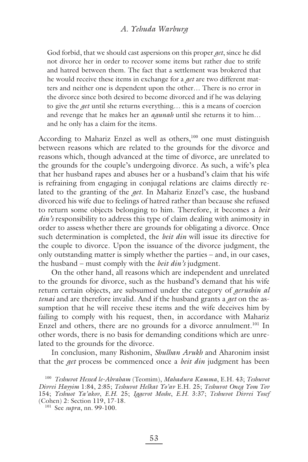#### *A. Yehuda Warburg*

God forbid, that we should cast aspersions on this proper *get*, since he did not divorce her in order to recover some items but rather due to strife and hatred between them. The fact that a settlement was brokered that he would receive these items in exchange for a *get* are two different matters and neither one is dependent upon the other… There is no error in the divorce since both desired to become divorced and if he was delaying to give the *get* until she returns everything… this is a means of coercion and revenge that he makes her an *agunah* until she returns it to him… and he only has a claim for the items.

According to Mahariz Enzel as well as others,<sup>100</sup> one must distinguish between reasons which are related to the grounds for the divorce and reasons which, though advanced at the time of divorce, are unrelated to the grounds for the couple's undergoing divorce. As such, a wife's plea that her husband rapes and abuses her or a husband's claim that his wife is refraining from engaging in conjugal relations are claims directly related to the granting of the *get*. In Mahariz Enzel's case, the husband divorced his wife due to feelings of hatred rather than because she refused to return some objects belonging to him. Therefore, it becomes a *beit din's* responsibility to address this type of claim dealing with animosity in order to assess whether there are grounds for obligating a divorce. Once such determination is completed, the *beit din* will issue its directive for the couple to divorce. Upon the issuance of the divorce judgment, the only outstanding matter is simply whether the parties – and, in our cases, the husband – must comply with the *beit din's* judgment.

On the other hand, all reasons which are independent and unrelated to the grounds for divorce, such as the husband's demand that his wife return certain objects, are subsumed under the category of *gerushin al tenai* and are therefore invalid. And if the husband grants a *get* on the assumption that he will receive these items and the wife deceives him by failing to comply with his request, then, in accordance with Mahariz Enzel and others, there are no grounds for a divorce annulment.<sup>101</sup> In other words, there is no basis for demanding conditions which are unrelated to the grounds for the divorce.

In conclusion, many Rishonim, *Shulhan Arukh* and Aharonim insist that the *get* process be commenced once a *beit din* judgment has been

<sup>100</sup> *Teshuvot Hessed le-Abraham* (Teomim), *Mahadura Kamma*, E.H. 43; *Teshuvot Divrei Hayyim* 1:84, 2:85; *Teshuvot Helkat Yo'av* E.H. 25; *Teshuvot Oneg Yom Tov* 154; *Yeshuot Ya'akov*, *E.H.* 25; *Iggerot Moshe*, *E.H.* 3:37; *Teshuvot Divrei Yosef*

<sup>&</sup>lt;sup>101</sup> See *supra*, nn. 99-100.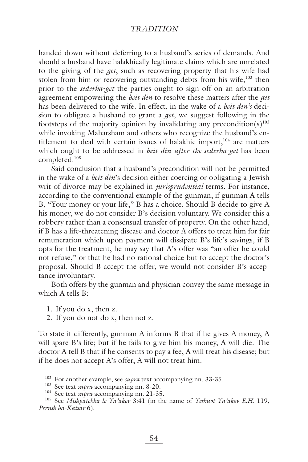handed down without deferring to a husband's series of demands. And should a husband have halakhically legitimate claims which are unrelated to the giving of the *get*, such as recovering property that his wife had stolen from him or recovering outstanding debts from his wife,<sup>102</sup> then prior to the *sederha-get* the parties ought to sign off on an arbitration agreement empowering the *beit din* to resolve these matters after the *get* has been delivered to the wife. In effect, in the wake of a *beit din's* decision to obligate a husband to grant a *get*, we suggest following in the footsteps of the majority opinion by invalidating any precondition(s)<sup>103</sup> while invoking Maharsham and others who recognize the husband's entitlement to deal with certain issues of halakhic import,<sup>104</sup> are matters which ought to be addressed in *beit din after the sederha-get* has been completed.105

Said conclusion that a husband's precondition will not be permitted in the wake of a *beit din*'s decision either coercing or obligating a Jewish writ of divorce may be explained in *jurisprudential* terms. For instance, according to the conventional example of the gunman, if gunman A tells B, "Your money or your life," B has a choice. Should B decide to give A his money, we do not consider B's decision voluntary. We consider this a robbery rather than a consensual transfer of property. On the other hand, if B has a life-threatening disease and doctor A offers to treat him for fair remuneration which upon payment will dissipate B's life's savings, if B opts for the treatment, he may say that A's offer was "an offer he could not refuse," or that he had no rational choice but to accept the doctor's proposal. Should B accept the offer, we would not consider B's acceptance involuntary.

Both offers by the gunman and physician convey the same message in which A tells B:

- 1.If you do x, then z.
- 2.If you do not do x, then not z.

To state it differently, gunman A informs B that if he gives A money, A will spare B's life; but if he fails to give him his money, A will die. The doctor A tell B that if he consents to pay a fee, A will treat his disease; but if he does not accept A's offer, A will not treat him.

<sup>102</sup> For another example, see *supra* text accompanying nn. 33-35.

<sup>103</sup> See text *supra* accompanying nn. 8-20.

<sup>104</sup> See text *supra* accompanying nn. 21-35.

<sup>105</sup> See *Mishpatekha le-Ya'akov* 3:41 (in the name of *Yeshuot Ya'akov E.H.* 119, *Perush ha-Katsar* 6).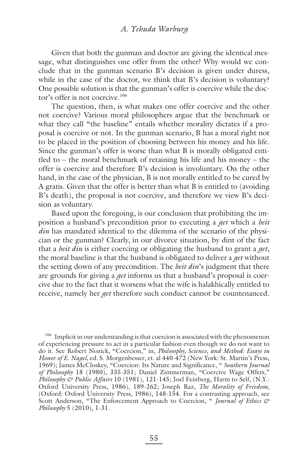### *A. Yehuda Warburg*

Given that both the gunman and doctor are giving the identical message, what distinguishes one offer from the other? Why would we conclude that in the gunman scenario B's decision is given under duress, while in the case of the doctor, we think that B's decision is voluntary? One possible solution is that the gunman's offer is coercive while the doctor's offer is not coercive.<sup>106</sup>

The question, then, is what makes one offer coercive and the other not coercive? Various moral philosophers argue that the benchmark or what they call "the baseline" entails whether morality dictates if a proposal is coercive or not. In the gunman scenario, B has a moral right not to be placed in the position of choosing between his money and his life. Since the gunman's offer is worse than what B is morally obligated entitled to – the moral benchmark of retaining his life and his money – the offer is coercive and therefore B's decision is involuntary. On the other hand, in the case of the physician, B is not morally entitled to be cured by A gratis. Given that the offer is better than what B is entitled to (avoiding B's death), the proposal is not coercive, and therefore we view B's decision as voluntary.

Based upon the foregoing, is our conclusion that prohibiting the imposition a husband's precondition prior to executing a *get* which a *beit din* has mandated identical to the dilemma of the scenario of the physician or the gunman? Clearly, in our divorce situation, by dint of the fact that a *beit din* is either coercing or obligating the husband to grant a *get*, the moral baseline is that the husband is obligated to deliver a *get* without the setting down of any precondition. The *beit din*'s judgment that there are grounds for giving a *get* informs us that a husband's proposal is coercive due to the fact that it worsens what the wife is halakhically entitled to receive, namely her *get* therefore such conduct cannot be countenanced.

<sup>106</sup> Implicit in our understanding is that coercion is associated with the phenomenon of experiencing pressure to act in a particular fashion even though we do not want to do it. See Robert Nozick, "Coercion," in, *Philosophy, Science, and Method: Essays in Honor of E. Nagel,* ed*.* S. Morgenbesser, et. al 440-472 (New York: St. Martin's Press, 1969); James McCloskey, "Coercion: Its Nature and Significance, " Southern Journal *of Philosophy* 18 (1980), 335-351; Daniel Zimmerman, "Coercive Wage Offers," *Philosophy & Public Affairs* 10 (1981), 121-145; Joel Feinberg, Harm to Self, (N.Y.: Oxford University Press, 1986), 189-262; Joseph Raz, *The Morality of Freedom*, (Oxford: Oxford University Press, 1986), 148-154. For a contrasting approach, see Scott Anderson, "The Enforcement Approach to Coercion, " *Journal of Ethics & Philosophy* 5 (2010), 1-31.